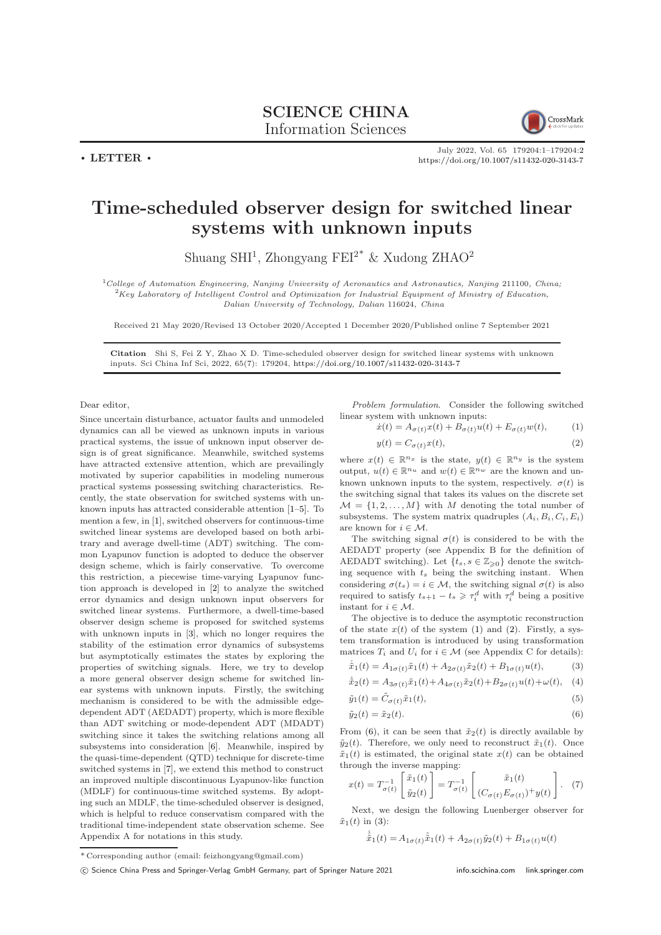$\cdot$  LETTER  $\cdot$ 



July 2022, Vol. 65 179204:1–179204[:2](#page-1-0) <https://doi.org/10.1007/s11432-020-3143-7>

## Time-scheduled observer design for switched linear systems with unknown inputs

Shuang SHI<sup>1</sup>, Zhongyang FEI<sup>2\*</sup> & Xudong ZHAO<sup>2</sup>

<sup>1</sup>College of Automation Engineering, Nanjing University of Aeronautics and Astronautics, Nanjing 211100, China;  ${}^{2}$ Key Laboratory of Intelligent Control and Optimization for Industrial Equipment of Ministry of Education, Dalian University of Technology, Dalian 116024, China

Received 21 May 2020/Revised 13 October 2020/Accepted 1 December 2020/Published online 7 September 2021

Citation Shi S, Fei Z Y, Zhao X D. Time-scheduled observer design for switched linear systems with unknown inputs. Sci China Inf Sci, 2022, 65(7): 179204, <https://doi.org/10.1007/s11432-020-3143-7>

Dear editor,

Since uncertain disturbance, actuator faults and unmodeled dynamics can all be viewed as unknown inputs in various practical systems, the issue of unknown input observer design is of great significance. Meanwhile, switched systems have attracted extensive attention, which are prevailingly motivated by superior capabilities in modeling numerous practical systems possessing switching characteristics. Recently, the state observation for switched systems with unknown inputs has attracted considerable attention [\[1–](#page-1-1)[5\]](#page-1-2). To mention a few, in [\[1\]](#page-1-1), switched observers for continuous-time switched linear systems are developed based on both arbitrary and average dwell-time (ADT) switching. The common Lyapunov function is adopted to deduce the observer design scheme, which is fairly conservative. To overcome this restriction, a piecewise time-varying Lyapunov function approach is developed in [\[2\]](#page-1-3) to analyze the switched error dynamics and design unknown input observers for switched linear systems. Furthermore, a dwell-time-based observer design scheme is proposed for switched systems with unknown inputs in [\[3\]](#page-1-4), which no longer requires the stability of the estimation error dynamics of subsystems but asymptotically estimates the states by exploring the properties of switching signals. Here, we try to develop a more general observer design scheme for switched linear systems with unknown inputs. Firstly, the switching mechanism is considered to be with the admissible edgedependent ADT (AEDADT) property, which is more flexible than ADT switching or mode-dependent ADT (MDADT) switching since it takes the switching relations among all subsystems into consideration [\[6\]](#page-1-5). Meanwhile, inspired by the quasi-time-dependent (QTD) technique for discrete-time switched systems in [\[7\]](#page-1-6), we extend this method to construct an improved multiple discontinuous Lyapunov-like function (MDLF) for continuous-time switched systems. By adopting such an MDLF, the time-scheduled observer is designed, which is helpful to reduce conservatism compared with the traditional time-independent state observation scheme. See Appendix A for notations in this study.

Problem formulation. Consider the following switched linear system with unknown inputs:

<span id="page-0-0"></span>
$$
\dot{x}(t) = A_{\sigma(t)}x(t) + B_{\sigma(t)}u(t) + E_{\sigma(t)}w(t), \qquad (1)
$$

<span id="page-0-1"></span>
$$
y(t) = C_{\sigma(t)} x(t),\tag{2}
$$

where  $x(t) \in \mathbb{R}^{n_x}$  is the state,  $y(t) \in \mathbb{R}^{n_y}$  is the system output,  $u(t) \in \mathbb{R}^{n_u}$  and  $w(t) \in \mathbb{R}^{n_w}$  are the known and unknown unknown inputs to the system, respectively.  $\sigma(t)$  is the switching signal that takes its values on the discrete set  $M = \{1, 2, ..., M\}$  with M denoting the total number of subsystems. The system matrix quadruples  $(A_i, B_i, C_i, E_i)$ are known for  $i \in M$ .

The switching signal  $\sigma(t)$  is considered to be with the AEDADT property (see Appendix B for the definition of AEDADT switching). Let  $\{t_s, s \in \mathbb{Z}_{\geq 0}\}\$  denote the switching sequence with  $t_s$  being the switching instant. When considering  $\sigma(t_s) = i \in \mathcal{M}$ , the switching signal  $\sigma(t)$  is also required to satisfy  $t_{s+1} - t_s \geq \tau_i^d$  with  $\tau_i^d$  being a positive instant for  $i \in \mathcal{M}$ .

The objective is to deduce the asymptotic reconstruction of the state  $x(t)$  of the system [\(1\)](#page-0-0) and [\(2\)](#page-0-1). Firstly, a system transformation is introduced by using transformation matrices  $T_i$  and  $U_i$  for  $i \in \mathcal{M}$  (see Appendix C for details):

<span id="page-0-3"></span>
$$
\dot{\tilde{x}}_1(t) = A_{1\sigma(t)}\tilde{x}_1(t) + A_{2\sigma(t)}\tilde{x}_2(t) + B_{1\sigma(t)}u(t),
$$
\n(3)

$$
\dot{\tilde{x}}_2(t) = A_{3\sigma(t)}\tilde{x}_1(t) + A_{4\sigma(t)}\tilde{x}_2(t) + B_{2\sigma(t)}u(t) + \omega(t), \quad (4)
$$

$$
\tilde{y}_1(t) = \tilde{C}_{\sigma(t)} \tilde{x}_1(t),\tag{5}
$$

<span id="page-0-2"></span>
$$
\tilde{y}_2(t) = \tilde{x}_2(t). \tag{6}
$$

From [\(6\)](#page-0-2), it can be seen that  $\tilde{x}_2(t)$  is directly available by  $\tilde{y}_2(t)$ . Therefore, we only need to reconstruct  $\tilde{x}_1(t)$ . Once  $\tilde{x}_1(t)$  is estimated, the original state  $x(t)$  can be obtained through the inverse mapping:

$$
x(t) = T_{\sigma(t)}^{-1} \begin{bmatrix} \tilde{x}_1(t) \\ \tilde{y}_2(t) \end{bmatrix} = T_{\sigma(t)}^{-1} \begin{bmatrix} \tilde{x}_1(t) \\ (C_{\sigma(t)} E_{\sigma(t)})^+ y(t) \end{bmatrix} . \tag{7}
$$

Next, we design the following Luenberger observer for  $\tilde{x}_1(t)$  in [\(3\)](#page-0-3):

$$
\dot{\hat{\vec{x}}}_1(t) = A_{1\sigma(t)}\hat{\vec{x}}_1(t) + A_{2\sigma(t)}\tilde{y}_2(t) + B_{1\sigma(t)}u(t)
$$

<sup>\*</sup> Corresponding author (email: feizhongyang@gmail.com)

<sup>(</sup>c) Science China Press and Springer-Verlag GmbH Germany, part of Springer Nature 2021 <info.scichina.com><link.springer.com>